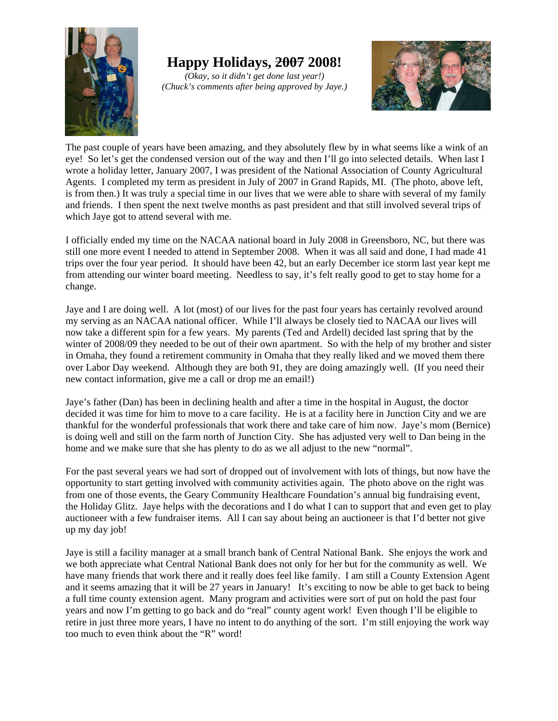

**Happy Holidays, 2007 2008!**

*(Okay, so it didn't get done last year!) (Chuck's comments after being approved by Jaye.)*



The past couple of years have been amazing, and they absolutely flew by in what seems like a wink of an eye! So let's get the condensed version out of the way and then I'll go into selected details. When last I wrote a holiday letter, January 2007, I was president of the National Association of County Agricultural Agents. I completed my term as president in July of 2007 in Grand Rapids, MI. (The photo, above left, is from then.) It was truly a special time in our lives that we were able to share with several of my family and friends. I then spent the next twelve months as past president and that still involved several trips of which Jaye got to attend several with me.

I officially ended my time on the NACAA national board in July 2008 in Greensboro, NC, but there was still one more event I needed to attend in September 2008. When it was all said and done, I had made 41 trips over the four year period. It should have been 42, but an early December ice storm last year kept me from attending our winter board meeting. Needless to say, it's felt really good to get to stay home for a change.

Jaye and I are doing well. A lot (most) of our lives for the past four years has certainly revolved around my serving as an NACAA national officer. While I'll always be closely tied to NACAA our lives will now take a different spin for a few years. My parents (Ted and Ardell) decided last spring that by the winter of 2008/09 they needed to be out of their own apartment. So with the help of my brother and sister in Omaha, they found a retirement community in Omaha that they really liked and we moved them there over Labor Day weekend. Although they are both 91, they are doing amazingly well. (If you need their new contact information, give me a call or drop me an email!)

Jaye's father (Dan) has been in declining health and after a time in the hospital in August, the doctor decided it was time for him to move to a care facility. He is at a facility here in Junction City and we are thankful for the wonderful professionals that work there and take care of him now. Jaye's mom (Bernice) is doing well and still on the farm north of Junction City. She has adjusted very well to Dan being in the home and we make sure that she has plenty to do as we all adjust to the new "normal".

For the past several years we had sort of dropped out of involvement with lots of things, but now have the opportunity to start getting involved with community activities again. The photo above on the right was from one of those events, the Geary Community Healthcare Foundation's annual big fundraising event, the Holiday Glitz. Jaye helps with the decorations and I do what I can to support that and even get to play auctioneer with a few fundraiser items. All I can say about being an auctioneer is that I'd better not give up my day job!

Jaye is still a facility manager at a small branch bank of Central National Bank. She enjoys the work and we both appreciate what Central National Bank does not only for her but for the community as well. We have many friends that work there and it really does feel like family. I am still a County Extension Agent and it seems amazing that it will be 27 years in January! It's exciting to now be able to get back to being a full time county extension agent. Many program and activities were sort of put on hold the past four years and now I'm getting to go back and do "real" county agent work! Even though I'll be eligible to retire in just three more years, I have no intent to do anything of the sort. I'm still enjoying the work way too much to even think about the "R" word!